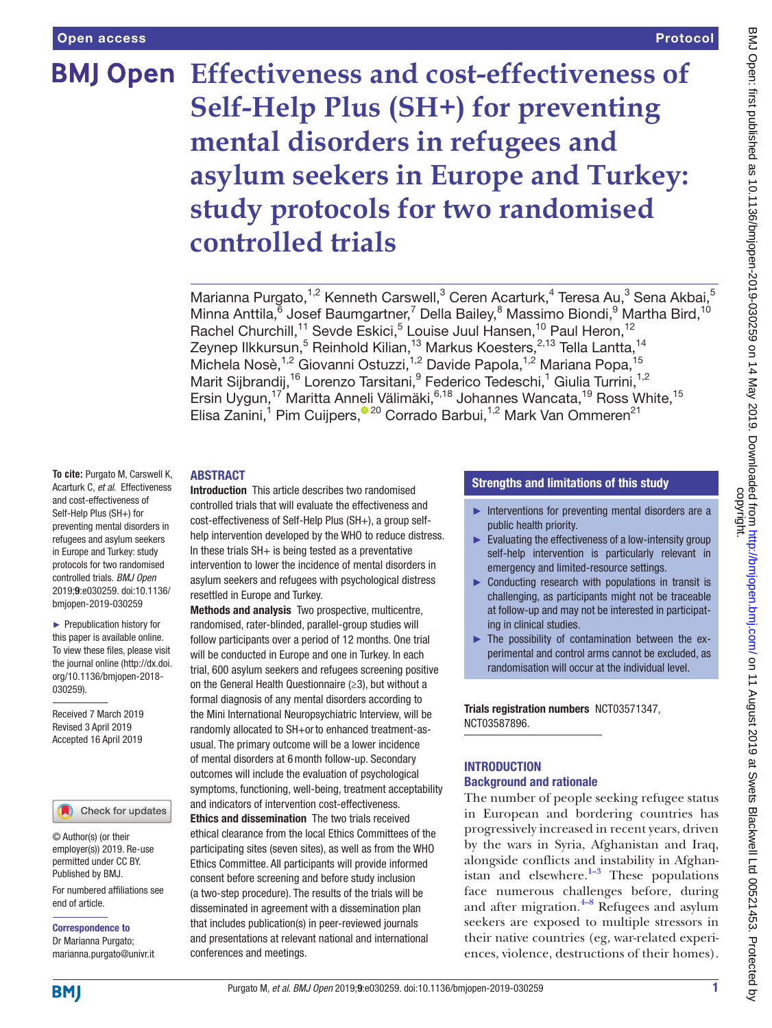# **Effectiveness and cost-effectiveness of Self-Help Plus (SH+) for preventing mental disorders in refugees and asylum seekers in Europe and Turkey: study protocols for two randomised controlled trials**

Marianna Purgato,<sup>1,2</sup> Kenneth Carswell,<sup>3</sup> Ceren Acarturk,<sup>4</sup> Teresa Au,<sup>3</sup> Sena Akbai,<sup>5</sup> Minna Anttila, <sup>6</sup> Josef Baumgartner, <sup>7</sup> Della Bailey, <sup>8</sup> Massimo Biondi, <sup>9</sup> Martha Bird, <sup>10</sup> Rachel Churchill,<sup>11</sup> Sevde Eskici,<sup>5</sup> Louise Juul Hansen,<sup>10</sup> Paul Heron,<sup>12</sup> Zeynep Ilkkursun,<sup>5</sup> Reinhold Kilian,<sup>13</sup> Markus Koesters,<sup>2,13</sup> Tella Lantta,<sup>14</sup> Michela Nosè,<sup>1,2</sup> Giovanni Ostuzzi,<sup>1,2</sup> Davide Papola,<sup>1,2</sup> Mariana Popa,<sup>15</sup> Marit Sijbrandij,<sup>16</sup> Lorenzo Tarsitani, <sup>9</sup> Federico Tedeschi, <sup>1</sup> Giulia Turrini, <sup>1,2</sup> Ersin Uygun,<sup>17</sup> Maritta Anneli Välimäki,<sup>6,18</sup> Johannes Wancata,<sup>19</sup> Ross White,<sup>15</sup> Elisa Zanini,<sup>1</sup> Pim Cuijpers,<sup>® 20</sup> Corrado Barbui,<sup>1,2</sup> Mark Van Ommeren<sup>21</sup>

#### **ABSTRACT**

Introduction This article describes two randomised controlled trials that will evaluate the effectiveness and cost-effectiveness of Self-Help Plus (SH+), a group selfhelp intervention developed by the WHO to reduce distress. In these trials  $SH+$  is being tested as a preventative intervention to lower the incidence of mental disorders in asylum seekers and refugees with psychological distress resettled in Europe and Turkey.

Methods and analysis Two prospective, multicentre, randomised, rater-blinded, parallel-group studies will follow participants over a period of 12 months. One trial will be conducted in Europe and one in Turkey. In each trial, 600 asylum seekers and refugees screening positive on the General Health Questionnaire (≥3), but without a formal diagnosis of any mental disorders according to the Mini International Neuropsychiatric Interview, will be randomly allocated to SH+orto enhanced treatment-asusual. The primary outcome will be a lower incidence of mental disorders at 6month follow-up. Secondary outcomes will include the evaluation of psychological symptoms, functioning, well-being, treatment acceptability and indicators of intervention cost-effectiveness.

Ethics and dissemination The two trials received ethical clearance from the local Ethics Committees of the participating sites (seven sites), as well as from the WHO Ethics Committee. All participants will provide informed consent before screening and before study inclusion (a two-step procedure). The results of the trials will be disseminated in agreement with a dissemination plan that includes publication(s) in peer-reviewed journals and presentations at relevant national and international conferences and meetings.

#### Strengths and limitations of this study

- ► Interventions for preventing mental disorders are a public health priority.
- ► Evaluating the effectiveness of a low-intensity group self-help intervention is particularly relevant in emergency and limited-resource settings.
- ► Conducting research with populations in transit is challenging, as participants might not be traceable at follow-up and may not be interested in participating in clinical studies.
- ► The possibility of contamination between the experimental and control arms cannot be excluded, as randomisation will occur at the individual level.

Trials registration numbers [NCT03571347,](NCT03571347) [NCT03587896.](NCT03587896)

#### **INTRODUCTION** Background and rationale

The number of people seeking refugee status in European and bordering countries has progressively increased in recent years, driven by the wars in Syria, Afghanistan and Iraq, alongside conflicts and instability in Afghanistan and elsewhere. $1-3$  These populations face numerous challenges before, during and after migration. $4-8$  Refugees and asylum seekers are exposed to multiple stressors in their native countries (eg, war-related experiences, violence, destructions of their homes).

**To cite:** Purgato M, Carswell K, Acarturk C, *et al*. Effectiveness and cost-effectiveness of Self-Help Plus (SH+) for preventing mental disorders in refugees and asylum seekers in Europe and Turkey: study protocols for two randomised controlled trials. *BMJ Open* 2019;9:e030259. doi:10.1136/ bmjopen-2019-030259

► Prepublication history for this paper is available online. To view these files, please visit the journal online [\(http://dx.doi.](http://dx.doi.org/10.1136/bmjopen-2018-030259) [org/10.1136/bmjopen-2018-](http://dx.doi.org/10.1136/bmjopen-2018-030259) [030259\)](http://dx.doi.org/10.1136/bmjopen-2018-030259).

Received 7 March 2019 Revised 3 April 2019 Accepted 16 April 2019

#### Check for updates

© Author(s) (or their employer(s)) 2019. Re-use permitted under CC BY. Published by BMJ.

For numbered affiliations see end of article.

Correspondence to Dr Marianna Purgato; marianna.purgato@univr.it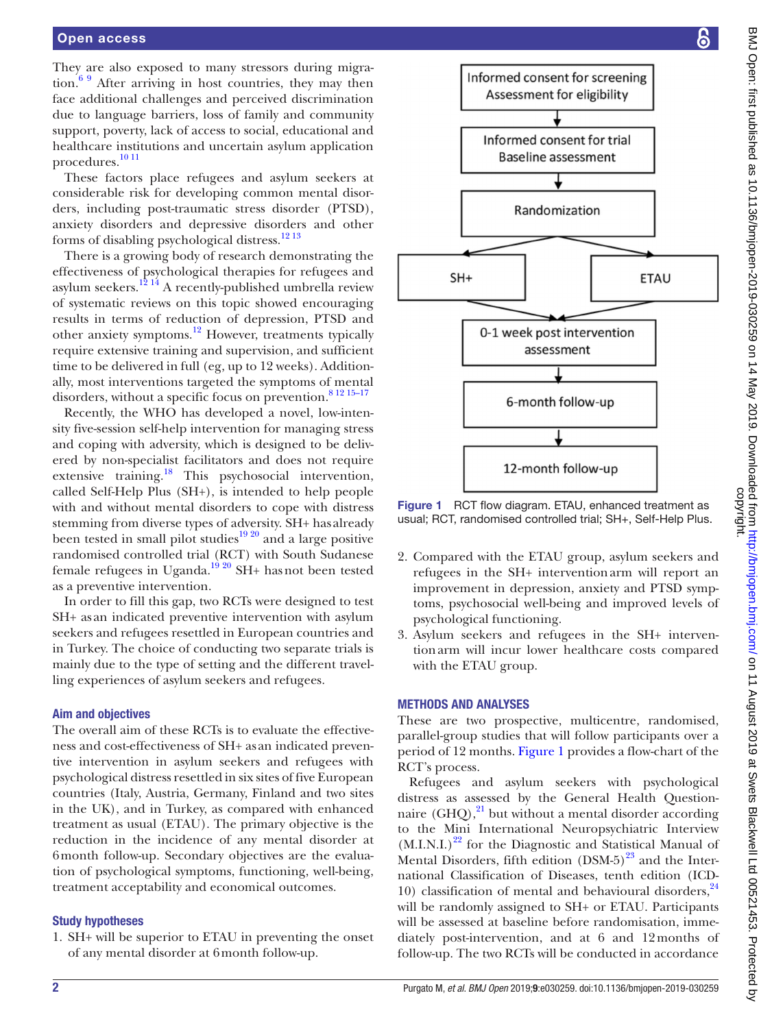They are also exposed to many stressors during migration. $69$  After arriving in host countries, they may then face additional challenges and perceived discrimination due to language barriers, loss of family and community support, poverty, lack of access to social, educational and healthcare institutions and uncertain asylum application procedures[.10 11](#page-7-3)

These factors place refugees and asylum seekers at considerable risk for developing common mental disorders, including post-traumatic stress disorder (PTSD), anxiety disorders and depressive disorders and other forms of disabling psychological distress.[12 13](#page-7-4)

There is a growing body of research demonstrating the effectiveness of psychological therapies for refugees and asylum seekers.<sup>12 14</sup> A recently-published umbrella review of systematic reviews on this topic showed encouraging results in terms of reduction of depression, PTSD and other anxiety symptoms.[12](#page-7-4) However, treatments typically require extensive training and supervision, and sufficient time to be delivered in full (eg, up to 12 weeks). Additionally, most interventions targeted the symptoms of mental disorders, without a specific focus on prevention.<sup>[8 12 15–17](#page-7-5)</sup>

Recently, the WHO has developed a novel, low-intensity five-session self-help intervention for managing stress and coping with adversity, which is designed to be delivered by non-specialist facilitators and does not require extensive training.<sup>18</sup> This psychosocial intervention, called Self-Help Plus (SH+), is intended to help people with and without mental disorders to cope with distress stemming from diverse types of adversity. SH+ has already been tested in small pilot studies $19\frac{20}{9}$  and a large positive randomised controlled trial (RCT) with South Sudanese female refugees in Uganda.<sup>19 20</sup> SH+ has not been tested as a preventive intervention.

In order to fill this gap, two RCTs were designed to test SH+ as an indicated preventive intervention with asylum seekers and refugees resettled in European countries and in Turkey. The choice of conducting two separate trials is mainly due to the type of setting and the different travelling experiences of asylum seekers and refugees.

#### Aim and objectives

The overall aim of these RCTs is to evaluate the effectiveness and cost-effectiveness of SH+ as an indicated preventive intervention in asylum seekers and refugees with psychological distress resettled in six sites of five European countries (Italy, Austria, Germany, Finland and two sites in the UK), and in Turkey, as compared with enhanced treatment as usual (ETAU). The primary objective is the reduction in the incidence of any mental disorder at 6month follow-up. Secondary objectives are the evaluation of psychological symptoms, functioning, well-being, treatment acceptability and economical outcomes.

#### Study hypotheses

1. SH+ will be superior to ETAU in preventing the onset of any mental disorder at 6month follow-up.



<span id="page-1-0"></span>Figure 1 RCT flow diagram. ETAU, enhanced treatment as usual; RCT, randomised controlled trial; SH+, Self-Help Plus.

- 2. Compared with the ETAU group, asylum seekers and refugees in the SH+ interventionarm will report an improvement in depression, anxiety and PTSD symptoms, psychosocial well-being and improved levels of psychological functioning.
- 3. Asylum seekers and refugees in the SH+ interventionarm will incur lower healthcare costs compared with the ETAU group.

#### Methods and analyses

These are two prospective, multicentre, randomised, parallel-group studies that will follow participants over a period of 12 months. [Figure](#page-1-0) 1 provides a flow-chart of the RCT's process.

Refugees and asylum seekers with psychological distress as assessed by the General Health Questionnaire  $(GHQ)$ ,<sup>21</sup> but without a mental disorder according to the Mini International Neuropsychiatric Interview  $(M.I.N.I.)<sup>22</sup>$  for the Diagnostic and Statistical Manual of Mental Disorders, fifth edition  $(DSM-5)^{23}$  and the International Classification of Diseases, tenth edition (ICD-10) classification of mental and behavioural disorders,  $24$ will be randomly assigned to SH+ or ETAU. Participants will be assessed at baseline before randomisation, immediately post-intervention, and at 6 and 12months of follow-up. The two RCTs will be conducted in accordance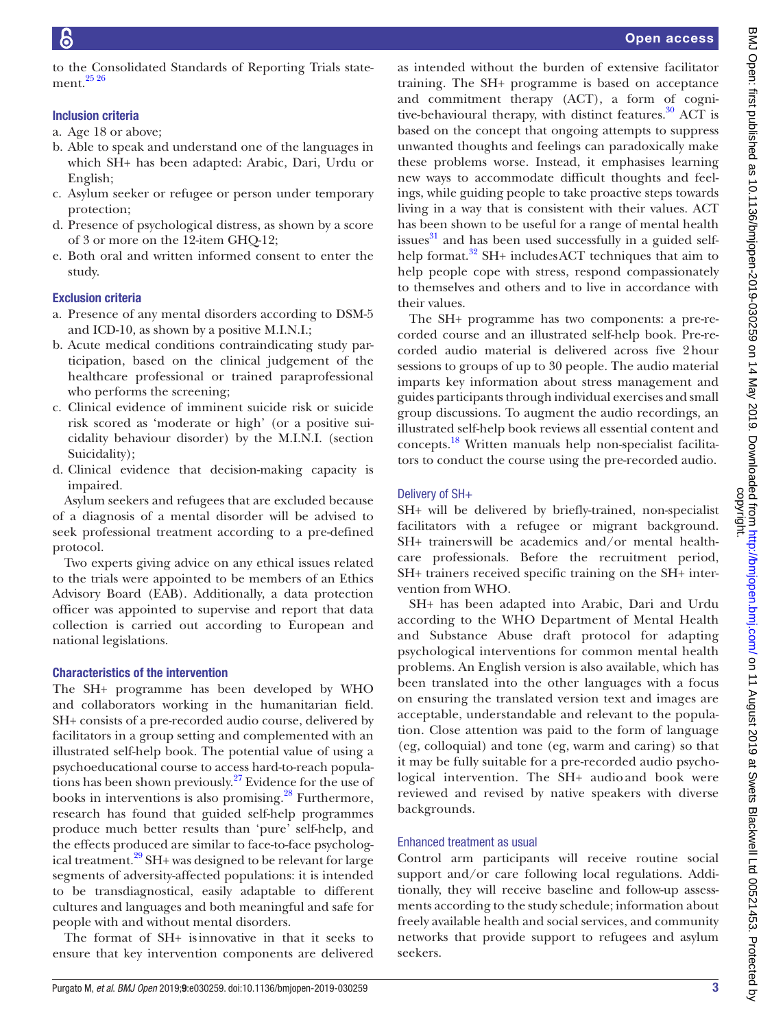to the Consolidated Standards of Reporting Trials statement.[25 26](#page-7-12)

# Inclusion criteria

- a. Age 18 or above;
- b. Able to speak and understand one of the languages in which SH+ has been adapted: Arabic, Dari, Urdu or English;
- c. Asylum seeker or refugee or person under temporary protection;
- d. Presence of psychological distress, as shown by a score of 3 or more on the 12-item GHQ-12;
- e. Both oral and written informed consent to enter the study.

# Exclusion criteria

- a. Presence of any mental disorders according to DSM-5 and ICD-10, as shown by a positive M.I.N.I.;
- b. Acute medical conditions contraindicating study participation, based on the clinical judgement of the healthcare professional or trained paraprofessional who performs the screening;
- c. Clinical evidence of imminent suicide risk or suicide risk scored as 'moderate or high' (or a positive suicidality behaviour disorder) by the M.I.N.I. (section Suicidality);
- d. Clinical evidence that decision-making capacity is impaired.

Asylum seekers and refugees that are excluded because of a diagnosis of a mental disorder will be advised to seek professional treatment according to a pre-defined protocol.

Two experts giving advice on any ethical issues related to the trials were appointed to be members of an Ethics Advisory Board (EAB). Additionally, a data protection officer was appointed to supervise and report that data collection is carried out according to European and national legislations.

# Characteristics of the intervention

The SH+ programme has been developed by WHO and collaborators working in the humanitarian field. SH+ consists of a pre-recorded audio course, delivered by facilitators in a group setting and complemented with an illustrated self-help book. The potential value of using a psychoeducational course to access hard-to-reach populations has been shown previously[.27](#page-7-13) Evidence for the use of books in interventions is also promising. $^{28}$  Furthermore, research has found that guided self-help programmes produce much better results than 'pure' self-help, and the effects produced are similar to face-to-face psychological treatment.<sup>29</sup> SH+ was designed to be relevant for large segments of adversity-affected populations: it is intended to be transdiagnostical, easily adaptable to different cultures and languages and both meaningful and safe for people with and without mental disorders.

The format of SH+ isinnovative in that it seeks to ensure that key intervention components are delivered

as intended without the burden of extensive facilitator training. The SH+ programme is based on acceptance and commitment therapy (ACT), a form of cognitive-behavioural therapy, with distinct features.<sup>30</sup> ACT is based on the concept that ongoing attempts to suppress unwanted thoughts and feelings can paradoxically make these problems worse. Instead, it emphasises learning new ways to accommodate difficult thoughts and feelings, while guiding people to take proactive steps towards living in a way that is consistent with their values. ACT has been shown to be useful for a range of mental health issues $^{31}$  $^{31}$  $^{31}$  and has been used successfully in a guided selfhelp format.<sup>32</sup> SH+ includesACT techniques that aim to help people cope with stress, respond compassionately to themselves and others and to live in accordance with their values.

The SH+ programme has two components: a pre-recorded course and an illustrated self-help book. Pre-recorded audio material is delivered across five 2hour sessions to groups of up to 30 people. The audio material imparts key information about stress management and guides participants through individual exercises and small group discussions. To augment the audio recordings, an illustrated self-help book reviews all essential content and concepts.[18](#page-7-6) Written manuals help non-specialist facilitators to conduct the course using the pre-recorded audio.

# Delivery of SH+

SH+ will be delivered by briefly-trained, non-specialist facilitators with a refugee or migrant background. SH+ trainerswill be academics and/or mental healthcare professionals. Before the recruitment period, SH+ trainers received specific training on the SH+ intervention from WHO.

SH+ has been adapted into Arabic, Dari and Urdu according to the WHO Department of Mental Health and Substance Abuse draft protocol for adapting psychological interventions for common mental health problems. An English version is also available, which has been translated into the other languages with a focus on ensuring the translated version text and images are acceptable, understandable and relevant to the population. Close attention was paid to the form of language (eg, colloquial) and tone (eg, warm and caring) so that it may be fully suitable for a pre-recorded audio psychological intervention. The SH+ audio and book were reviewed and revised by native speakers with diverse backgrounds.

# Enhanced treatment as usual

Control arm participants will receive routine social support and/or care following local regulations. Additionally, they will receive baseline and follow-up assessments according to the study schedule; information about freely available health and social services, and community networks that provide support to refugees and asylum seekers.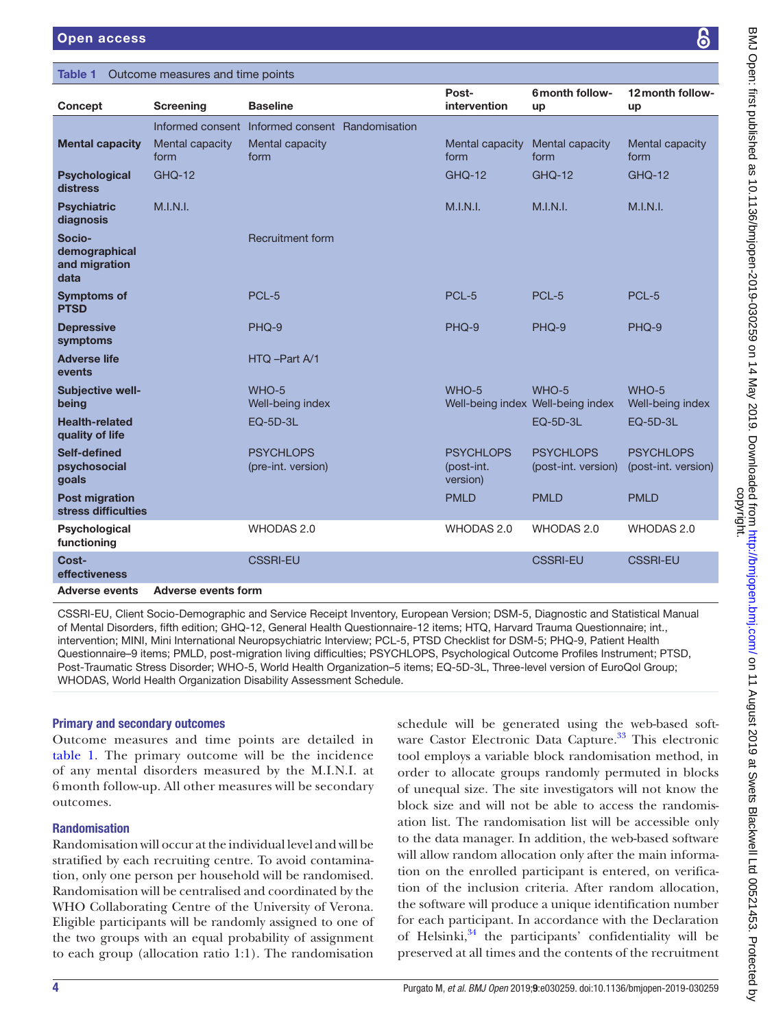#### <span id="page-3-0"></span>Table 1 Outcome measures and time points

| Concept                                          | <b>Screening</b>           | <b>Baseline</b>                        | Post-<br>intervention                      | 6 month follow-<br>up                      | 12 month follow-<br>up                  |
|--------------------------------------------------|----------------------------|----------------------------------------|--------------------------------------------|--------------------------------------------|-----------------------------------------|
|                                                  | Informed consent           | Informed consent Randomisation         |                                            |                                            |                                         |
| <b>Mental capacity</b>                           | Mental capacity<br>form    | Mental capacity<br>form                | Mental capacity<br>form                    | Mental capacity<br>form                    | Mental capacity<br>form                 |
| <b>Psychological</b><br>distress                 | <b>GHQ-12</b>              |                                        | <b>GHO-12</b>                              | <b>GHQ-12</b>                              | <b>GHQ-12</b>                           |
| <b>Psychiatric</b><br>diagnosis                  | M.I.N.I.                   |                                        | M.I.N.I.                                   | M.I.N.I.                                   | M.I.N.I.                                |
| Socio-<br>demographical<br>and migration<br>data |                            | <b>Recruitment form</b>                |                                            |                                            |                                         |
| <b>Symptoms of</b><br><b>PTSD</b>                |                            | PCL-5                                  | PCL-5                                      | PCL-5                                      | PCL-5                                   |
| <b>Depressive</b><br>symptoms                    |                            | PHQ-9                                  | PHQ-9                                      | PHQ-9                                      | PHQ-9                                   |
| <b>Adverse life</b><br>events                    |                            | HTQ -Part A/1                          |                                            |                                            |                                         |
| Subjective well-<br>being                        |                            | WHO-5<br>Well-being index              | WHO-5                                      | WHO-5<br>Well-being index Well-being index | WHO-5<br>Well-being index               |
| <b>Health-related</b><br>quality of life         |                            | <b>EQ-5D-3L</b>                        |                                            | <b>EQ-5D-3L</b>                            | <b>EQ-5D-3L</b>                         |
| Self-defined<br>psychosocial<br>goals            |                            | <b>PSYCHLOPS</b><br>(pre-int. version) | <b>PSYCHLOPS</b><br>(post-int.<br>version) | <b>PSYCHLOPS</b><br>(post-int. version)    | <b>PSYCHLOPS</b><br>(post-int. version) |
| <b>Post migration</b><br>stress difficulties     |                            |                                        | <b>PMLD</b>                                | <b>PMLD</b>                                | <b>PMLD</b>                             |
| Psychological<br>functioning                     |                            | <b>WHODAS 2.0</b>                      | WHODAS 2.0                                 | WHODAS 2.0                                 | WHODAS 2.0                              |
| Cost-<br>effectiveness                           |                            | <b>CSSRI-EU</b>                        |                                            | <b>CSSRI-EU</b>                            | <b>CSSRI-EU</b>                         |
| <b>Adverse events</b>                            | <b>Adverse events form</b> |                                        |                                            |                                            |                                         |

CSSRI-EU, Client Socio-Demographic and Service Receipt Inventory, European Version; DSM-5, Diagnostic and Statistical Manual of Mental Disorders, fifth edition; GHQ-12, General Health Questionnaire-12 items; HTQ, Harvard Trauma Questionnaire; int., intervention; MINI, Mini International Neuropsychiatric Interview; PCL-5, PTSD Checklist for DSM-5; PHQ-9, Patient Health Questionnaire–9 items; PMLD, post-migration living difficulties; PSYCHLOPS, Psychological Outcome Profiles Instrument; PTSD, Post-Traumatic Stress Disorder; WHO-5, World Health Organization–5 items; EQ-5D-3L, Three-level version of EuroQol Group; WHODAS, World Health Organization Disability Assessment Schedule.

#### Primary and secondary outcomes

Outcome measures and time points are detailed in [table](#page-3-0) 1. The primary outcome will be the incidence of any mental disorders measured by the M.I.N.I. at 6 month follow-up. All other measures will be secondary outcomes.

#### Randomisation

Randomisation will occur at the individual level and will be stratified by each recruiting centre. To avoid contamination, only one person per household will be randomised. Randomisation will be centralised and coordinated by the WHO Collaborating Centre of the University of Verona. Eligible participants will be randomly assigned to one of the two groups with an equal probability of assignment to each group (allocation ratio 1:1). The randomisation

schedule will be generated using the web-based soft-ware Castor Electronic Data Capture.<sup>[33](#page-7-19)</sup> This electronic tool employs a variable block randomisation method, in order to allocate groups randomly permuted in blocks of unequal size. The site investigators will not know the block size and will not be able to access the randomisation list. The randomisation list will be accessible only to the data manager. In addition, the web-based software will allow random allocation only after the main information on the enrolled participant is entered, on verification of the inclusion criteria. After random allocation, the software will produce a unique identification number for each participant. In accordance with the Declaration of Helsinki, $34$  the participants' confidentiality will be preserved at all times and the contents of the recruitment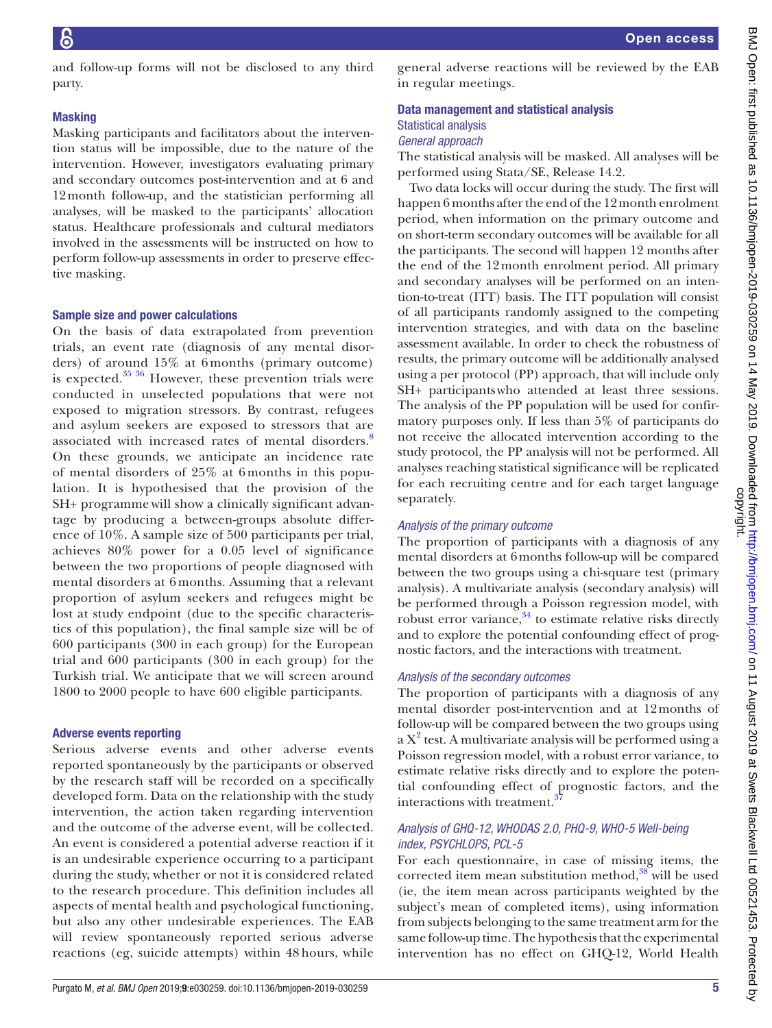and follow-up forms will not be disclosed to any third party.

# **Masking**

Masking participants and facilitators about the intervention status will be impossible, due to the nature of the intervention. However, investigators evaluating primary and secondary outcomes post-intervention and at 6 and 12month follow-up, and the statistician performing all analyses, will be masked to the participants' allocation status. Healthcare professionals and cultural mediators involved in the assessments will be instructed on how to perform follow-up assessments in order to preserve effective masking.

# Sample size and power calculations

On the basis of data extrapolated from prevention trials, an event rate (diagnosis of any mental disorders) of around 15% at 6 months (primary outcome) is expected. $35\frac{36}{10}$  However, these prevention trials were conducted in unselected populations that were not exposed to migration stressors. By contrast, refugees and asylum seekers are exposed to stressors that are associated with increased rates of mental disorders.<sup>[8](#page-7-5)</sup> On these grounds, we anticipate an incidence rate of mental disorders of 25% at 6 months in this population. It is hypothesised that the provision of the SH+ programmewill show a clinically significant advantage by producing a between-groups absolute difference of 10%. A sample size of 500 participants per trial, achieves 80% power for a 0.05 level of significance between the two proportions of people diagnosed with mental disorders at 6 months. Assuming that a relevant proportion of asylum seekers and refugees might be lost at study endpoint (due to the specific characteristics of this population), the final sample size will be of 600 participants (300 in each group) for the European trial and 600 participants (300 in each group) for the Turkish trial. We anticipate that we will screen around 1800 to 2000 people to have 600 eligible participants.

# Adverse events reporting

Serious adverse events and other adverse events reported spontaneously by the participants or observed by the research staff will be recorded on a specifically developed form. Data on the relationship with the study intervention, the action taken regarding intervention and the outcome of the adverse event, will be collected. An event is considered a potential adverse reaction if it is an undesirable experience occurring to a participant during the study, whether or not it is considered related to the research procedure. This definition includes all aspects of mental health and psychological functioning, but also any other undesirable experiences. The EAB will review spontaneously reported serious adverse reactions (eg, suicide attempts) within 48 hours, while

general adverse reactions will be reviewed by the EAB in regular meetings.

# Data management and statistical analysis Statistical analysis *General approach*

The statistical analysis will be masked. All analyses will be performed using Stata/SE, Release 14.2.

Two data locks will occur during the study. The first will happen 6 months after the end of the 12 month enrolment period, when information on the primary outcome and on short-term secondary outcomes will be available for all the participants. The second will happen 12 months after the end of the 12month enrolment period. All primary and secondary analyses will be performed on an intention-to-treat (ITT) basis. The ITT population will consist of all participants randomly assigned to the competing intervention strategies, and with data on the baseline assessment available. In order to check the robustness of results, the primary outcome will be additionally analysed using a per protocol (PP) approach, that will include only SH+ participantswho attended at least three sessions. The analysis of the PP population will be used for confirmatory purposes only. If less than 5% of participants do not receive the allocated intervention according to the study protocol, the PP analysis will not be performed. All analyses reaching statistical significance will be replicated for each recruiting centre and for each target language separately.

# *Analysis of the primary outcome*

The proportion of participants with a diagnosis of any mental disorders at 6months follow-up will be compared between the two groups using a chi-square test (primary analysis). A multivariate analysis (secondary analysis) will be performed through a Poisson regression model, with robust error variance, $34$  to estimate relative risks directly and to explore the potential confounding effect of prognostic factors, and the interactions with treatment.

# *Analysis of the secondary outcomes*

The proportion of participants with a diagnosis of any mental disorder post-intervention and at 12months of follow-up will be compared between the two groups using a X<sup>2</sup> test. A multivariate analysis will be performed using a Poisson regression model, with a robust error variance, to estimate relative risks directly and to explore the potential confounding effect of prognostic factors, and the interactions with treatment.<sup>[37](#page-8-0)</sup>

# *Analysis of GHQ-12, WHODAS 2.0, PHQ-9, WHO-5 Well-being index, PSYCHLOPS, PCL-5*

For each questionnaire, in case of missing items, the corrected item mean substitution method, $38$  will be used (ie, the item mean across participants weighted by the subject's mean of completed items), using information from subjects belonging to the same treatment arm for the same follow-up time. The hypothesis that the experimental intervention has no effect on GHQ-12, World Health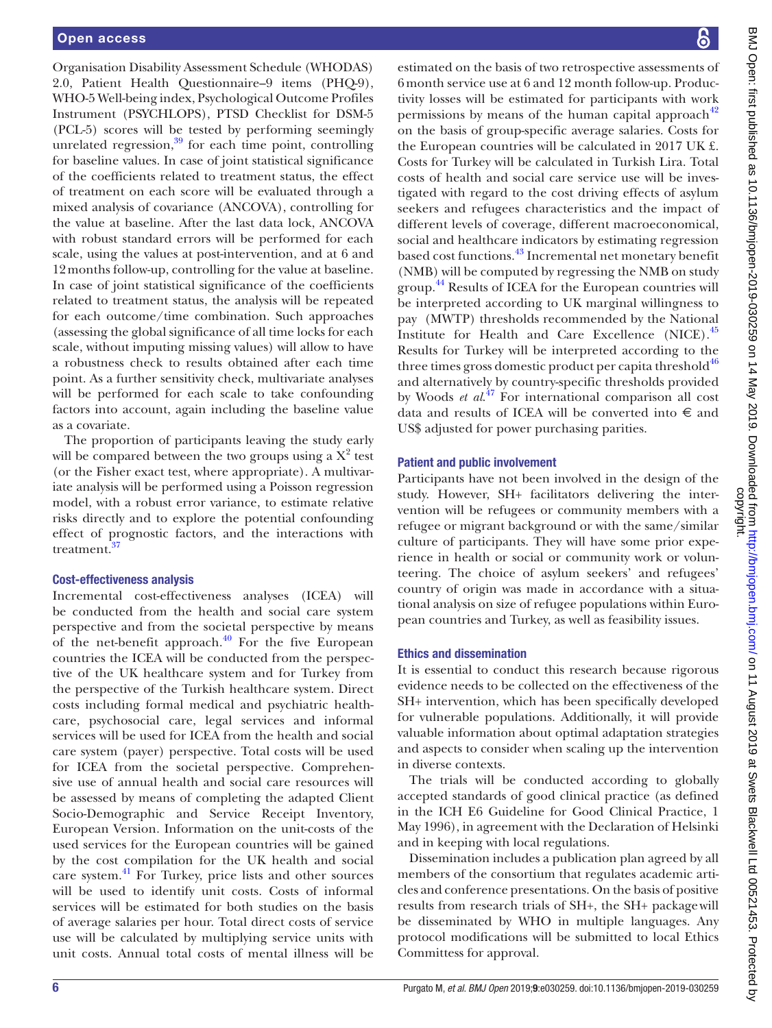Organisation Disability Assessment Schedule (WHODAS) 2.0, Patient Health Questionnaire–9 items (PHQ-9), WHO-5 Well-being index, Psychological Outcome Profiles Instrument (PSYCHLOPS), PTSD Checklist for DSM-5 (PCL-5) scores will be tested by performing seemingly unrelated regression, $39$  for each time point, controlling for baseline values. In case of joint statistical significance of the coefficients related to treatment status, the effect of treatment on each score will be evaluated through a mixed analysis of covariance (ANCOVA), controlling for the value at baseline. After the last data lock, ANCOVA with robust standard errors will be performed for each scale, using the values at post-intervention, and at 6 and 12months follow-up, controlling for the value at baseline. In case of joint statistical significance of the coefficients related to treatment status, the analysis will be repeated for each outcome/time combination. Such approaches (assessing the global significance of all time locks for each scale, without imputing missing values) will allow to have a robustness check to results obtained after each time point. As a further sensitivity check, multivariate analyses will be performed for each scale to take confounding factors into account, again including the baseline value as a covariate.

The proportion of participants leaving the study early will be compared between the two groups using a  $X^2$  test (or the Fisher exact test, where appropriate). A multivariate analysis will be performed using a Poisson regression model, with a robust error variance, to estimate relative risks directly and to explore the potential confounding effect of prognostic factors, and the interactions with treatment.<sup>3</sup>

# Cost-effectiveness analysis

Incremental cost-effectiveness analyses (ICEA) will be conducted from the health and social care system perspective and from the societal perspective by means of the net-benefit approach. $40$  For the five European countries the ICEA will be conducted from the perspective of the UK healthcare system and for Turkey from the perspective of the Turkish healthcare system. Direct costs including formal medical and psychiatric healthcare, psychosocial care, legal services and informal services will be used for ICEA from the health and social care system (payer) perspective. Total costs will be used for ICEA from the societal perspective. Comprehensive use of annual health and social care resources will be assessed by means of completing the adapted Client Socio-Demographic and Service Receipt Inventory, European Version. Information on the unit-costs of the used services for the European countries will be gained by the cost compilation for the UK health and social care system.[41](#page-8-4) For Turkey, price lists and other sources will be used to identify unit costs. Costs of informal services will be estimated for both studies on the basis of average salaries per hour. Total direct costs of service use will be calculated by multiplying service units with unit costs. Annual total costs of mental illness will be

estimated on the basis of two retrospective assessments of 6month service use at 6 and 12 month follow-up. Productivity losses will be estimated for participants with work permissions by means of the human capital approach $42$ on the basis of group-specific average salaries. Costs for the European countries will be calculated in 2017 UK £. Costs for Turkey will be calculated in Turkish Lira. Total costs of health and social care service use will be investigated with regard to the cost driving effects of asylum seekers and refugees characteristics and the impact of different levels of coverage, different macroeconomical, social and healthcare indicators by estimating regression based cost functions.[43](#page-8-6) Incremental net monetary benefit (NMB) will be computed by regressing the NMB on study group.<sup>[44](#page-8-7)</sup> Results of ICEA for the European countries will be interpreted according to UK marginal willingness to pay (MWTP) thresholds recommended by the National Institute for Health and Care Excellence (NICE).[45](#page-8-8) Results for Turkey will be interpreted according to the three times gross domestic product per capita threshold $46$ and alternatively by country-specific thresholds provided by Woods *et al.*<sup>47</sup> For international comparison all cost data and results of ICEA will be converted into  $\epsilon$  and US\$ adjusted for power purchasing parities.

# Patient and public involvement

Participants have not been involved in the design of the study. However, SH+ facilitators delivering the intervention will be refugees or community members with a refugee or migrant background or with the same/similar culture of participants. They will have some prior experience in health or social or community work or volunteering. The choice of asylum seekers' and refugees' country of origin was made in accordance with a situational analysis on size of refugee populations within European countries and Turkey, as well as feasibility issues.

# Ethics and dissemination

It is essential to conduct this research because rigorous evidence needs to be collected on the effectiveness of the SH+ intervention, which has been specifically developed for vulnerable populations. Additionally, it will provide valuable information about optimal adaptation strategies and aspects to consider when scaling up the intervention in diverse contexts.

The trials will be conducted according to globally accepted standards of good clinical practice (as defined in the ICH E6 Guideline for Good Clinical Practice, 1 May 1996), in agreement with the Declaration of Helsinki and in keeping with local regulations.

Dissemination includes a publication plan agreed by all members of the consortium that regulates academic articles and conference presentations. On the basis of positive results from research trials of SH+, the SH+ packagewill be disseminated by WHO in multiple languages. Any protocol modifications will be submitted to local Ethics Committess for approval.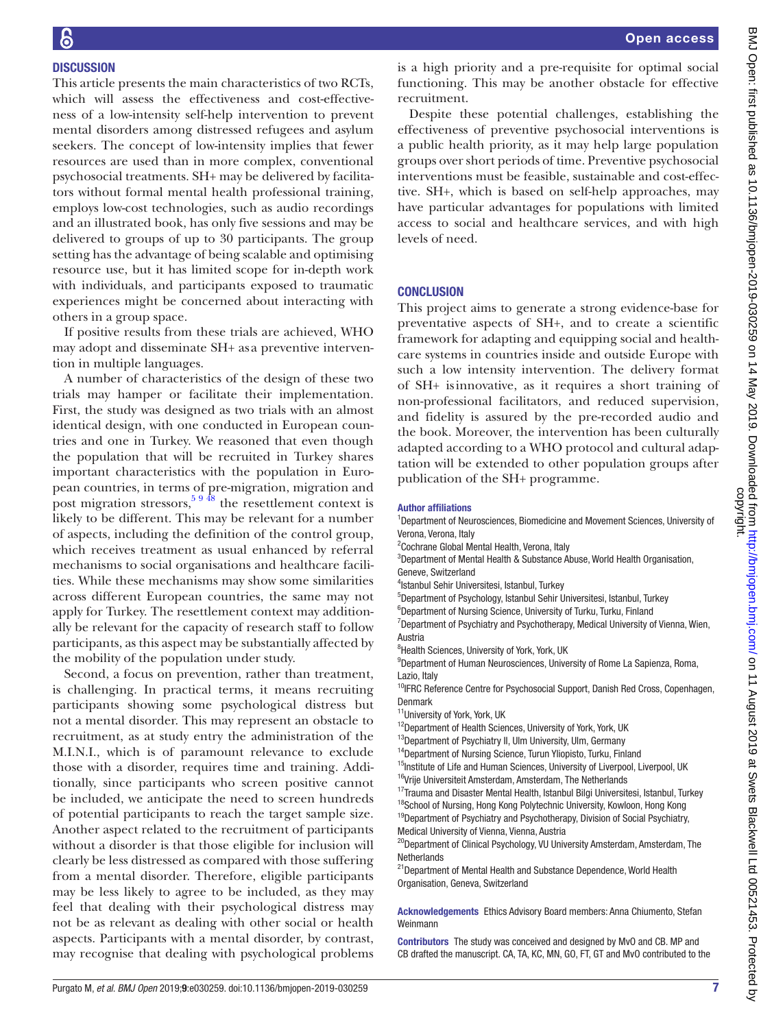# **DISCUSSION**

This article presents the main characteristics of two RCTs, which will assess the effectiveness and cost-effectiveness of a low-intensity self-help intervention to prevent mental disorders among distressed refugees and asylum seekers. The concept of low-intensity implies that fewer resources are used than in more complex, conventional psychosocial treatments. SH+ may be delivered by facilitators without formal mental health professional training, employs low-cost technologies, such as audio recordings and an illustrated book, has only five sessions and may be delivered to groups of up to 30 participants. The group setting has the advantage of being scalable and optimising resource use, but it has limited scope for in-depth work with individuals, and participants exposed to traumatic experiences might be concerned about interacting with others in a group space.

If positive results from these trials are achieved, WHO may adopt and disseminate SH+ as a preventive intervention in multiple languages.

A number of characteristics of the design of these two trials may hamper or facilitate their implementation. First, the study was designed as two trials with an almost identical design, with one conducted in European countries and one in Turkey. We reasoned that even though the population that will be recruited in Turkey shares important characteristics with the population in European countries, in terms of pre-migration, migration and post migration stressors,  $59\frac{48}{18}$  the resettlement context is likely to be different. This may be relevant for a number of aspects, including the definition of the control group, which receives treatment as usual enhanced by referral mechanisms to social organisations and healthcare facilities. While these mechanisms may show some similarities across different European countries, the same may not apply for Turkey. The resettlement context may additionally be relevant for the capacity of research staff to follow participants, as this aspect may be substantially affected by the mobility of the population under study.

Second, a focus on prevention, rather than treatment, is challenging. In practical terms, it means recruiting participants showing some psychological distress but not a mental disorder. This may represent an obstacle to recruitment, as at study entry the administration of the M.I.N.I., which is of paramount relevance to exclude those with a disorder, requires time and training. Additionally, since participants who screen positive cannot be included, we anticipate the need to screen hundreds of potential participants to reach the target sample size. Another aspect related to the recruitment of participants without a disorder is that those eligible for inclusion will clearly be less distressed as compared with those suffering from a mental disorder. Therefore, eligible participants may be less likely to agree to be included, as they may feel that dealing with their psychological distress may not be as relevant as dealing with other social or health aspects. Participants with a mental disorder, by contrast, may recognise that dealing with psychological problems

is a high priority and a pre-requisite for optimal social functioning. This may be another obstacle for effective recruitment.

Despite these potential challenges, establishing the effectiveness of preventive psychosocial interventions is a public health priority, as it may help large population groups over short periods of time. Preventive psychosocial interventions must be feasible, sustainable and cost-effective. SH+, which is based on self-help approaches, may have particular advantages for populations with limited access to social and healthcare services, and with high levels of need.

# **CONCLUSION**

This project aims to generate a strong evidence-base for preventative aspects of SH+, and to create a scientific framework for adapting and equipping social and healthcare systems in countries inside and outside Europe with such a low intensity intervention. The delivery format of SH+ isinnovative, as it requires a short training of non-professional facilitators, and reduced supervision, and fidelity is assured by the pre-recorded audio and the book. Moreover, the intervention has been culturally adapted according to a WHO protocol and cultural adaptation will be extended to other population groups after publication of the SH+ programme.

#### Author affiliations

- <sup>1</sup>Department of Neurosciences, Biomedicine and Movement Sciences, University of Verona, Verona, Italy
- <sup>2</sup> Cochrane Global Mental Health, Verona, Italy
- <sup>3</sup>Department of Mental Health & Substance Abuse, World Health Organisation, Geneve, Switzerland
- 4 Istanbul Sehir Universitesi, Istanbul, Turkey
- 5 Department of Psychology, Istanbul Sehir Universitesi, Istanbul, Turkey
- <sup>6</sup>Department of Nursing Science, University of Turku, Turku, Finland

<sup>7</sup>Department of Psychiatry and Psychotherapy, Medical University of Vienna, Wien, Austria

<sup>8</sup> Health Sciences, University of York, York, UK

<sup>9</sup>Department of Human Neurosciences, University of Rome La Sapienza, Roma, Lazio, Italy

<sup>10</sup>IFRC Reference Centre for Psychosocial Support, Danish Red Cross, Copenhagen, Denmark

<sup>11</sup>University of York, York, UK

- <sup>12</sup>Department of Health Sciences, University of York, York, UK
- <sup>13</sup>Department of Psychiatry II, Ulm University, Ulm, Germany
- <sup>14</sup>Department of Nursing Science, Turun Yliopisto, Turku, Finland
- <sup>15</sup>Institute of Life and Human Sciences, University of Liverpool, Liverpool, UK
- <sup>16</sup>Vrije Universiteit Amsterdam, Amsterdam, The Netherlands <sup>17</sup>Trauma and Disaster Mental Health, Istanbul Bilgi Universitesi, Istanbul, Turkey
- <sup>18</sup>School of Nursing, Hong Kong Polytechnic University, Kowloon, Hong Kong
- <sup>19</sup>Department of Psychiatry and Psychotherapy, Division of Social Psychiatry, Medical University of Vienna, Vienna, Austria
- <sup>20</sup>Department of Clinical Psychology, VU University Amsterdam, Amsterdam, The **Netherlands**
- <sup>21</sup> Department of Mental Health and Substance Dependence, World Health Organisation, Geneva, Switzerland

Acknowledgements Ethics Advisory Board members: Anna Chiumento, Stefan Weinmann

Contributors The study was conceived and designed by MvO and CB. MP and CB drafted the manuscript. CA, TA, KC, MN, GO, FT, GT and MvO contributed to the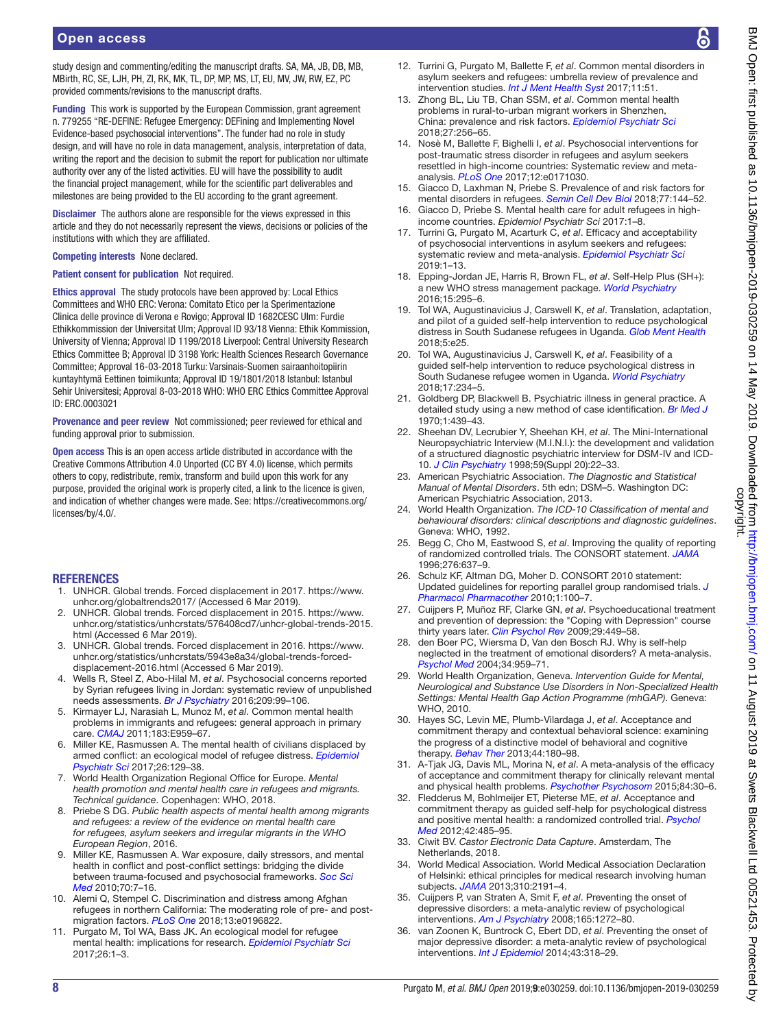study design and commenting/editing the manuscript drafts, SA, MA, JB, DB, MB, MBirth, RC, SE, LJH, PH, ZI, RK, MK, TL, DP, MP, MS, LT, EU, MV, JW, RW, EZ, PC provided comments/revisions to the manuscript drafts.

Funding This work is supported by the European Commission, grant agreement n. 779255 "RE-DEFINE: Refugee Emergency: DEFining and Implementing Novel Evidence-based psychosocial interventions". The funder had no role in study design, and will have no role in data management, analysis, interpretation of data, writing the report and the decision to submit the report for publication nor ultimate authority over any of the listed activities. EU will have the possibility to audit the financial project management, while for the scientific part deliverables and milestones are being provided to the EU according to the grant agreement.

Disclaimer The authors alone are responsible for the views expressed in this article and they do not necessarily represent the views, decisions or policies of the institutions with which they are affiliated.

#### Competing interests None declared.

Patient consent for publication Not required.

Ethics approval The study protocols have been approved by: Local Ethics Committees and WHO ERC: Verona: Comitato Etico per la Sperimentazione Clinica delle province di Verona e Rovigo; Approval ID 1682CESC Ulm: Furdie Ethikkommission der Universitat Ulm; Approval ID 93/18 Vienna: Ethik Kommission, University of Vienna; Approval ID 1199/2018 Liverpool: Central University Research Ethics Committee B; Approval ID 3198 York: Health Sciences Research Governance Committee; Approval 16-03-2018 Turku: Varsinais-Suomen sairaanhoitopiirin kuntayhtymä Eettinen toimikunta; Approval ID 19/1801/2018 Istanbul: Istanbul Sehir Universitesi; Approval 8-03-2018 WHO: WHO ERC Ethics Committee Approval ID: ERC.0003021

Provenance and peer review Not commissioned; peer reviewed for ethical and funding approval prior to submission.

Open access This is an open access article distributed in accordance with the Creative Commons Attribution 4.0 Unported (CC BY 4.0) license, which permits others to copy, redistribute, remix, transform and build upon this work for any purpose, provided the original work is properly cited, a link to the licence is given, and indication of whether changes were made. See: [https://creativecommons.org/](https://creativecommons.org/licenses/by/4.0/) [licenses/by/4.0/.](https://creativecommons.org/licenses/by/4.0/)

#### **REFERENCES**

- <span id="page-7-0"></span>1. UNHCR. Global trends. Forced displacement in 2017. [https://www.](https://www.unhcr.org/globaltrends2017/) [unhcr.org/globaltrends2017/](https://www.unhcr.org/globaltrends2017/) (Accessed 6 Mar 2019).
- 2. UNHCR. Global trends. Forced displacement in 2015. [https://www.](https://www.unhcr.org/statistics/unhcrstats/576408cd7/unhcr-global-trends-2015.html) [unhcr.org/statistics/unhcrstats/576408cd7/unhcr-global-trends-2015.](https://www.unhcr.org/statistics/unhcrstats/576408cd7/unhcr-global-trends-2015.html) [html](https://www.unhcr.org/statistics/unhcrstats/576408cd7/unhcr-global-trends-2015.html) (Accessed 6 Mar 2019).
- 3. UNHCR. Global trends. Forced displacement in 2016. [https://www.](https://www.unhcr.org/statistics/unhcrstats/5943e8a34/global-trends-forced-displacement-2016.html) [unhcr.org/statistics/unhcrstats/5943e8a34/global-trends-forced](https://www.unhcr.org/statistics/unhcrstats/5943e8a34/global-trends-forced-displacement-2016.html)[displacement-2016.html](https://www.unhcr.org/statistics/unhcrstats/5943e8a34/global-trends-forced-displacement-2016.html) (Accessed 6 Mar 2019).
- <span id="page-7-1"></span>4. Wells R, Steel Z, Abo-Hilal M, *et al*. Psychosocial concerns reported by Syrian refugees living in Jordan: systematic review of unpublished needs assessments. *[Br J Psychiatry](http://dx.doi.org/10.1192/bjp.bp.115.165084)* 2016;209:99–106.
- <span id="page-7-22"></span>5. Kirmayer LJ, Narasiah L, Munoz M, *et al*. Common mental health problems in immigrants and refugees: general approach in primary care. *[CMAJ](http://dx.doi.org/10.1503/cmaj.090292)* 2011;183:E959–67.
- <span id="page-7-2"></span>6. Miller KE, Rasmussen A. The mental health of civilians displaced by armed conflict: an ecological model of refugee distress. *[Epidemiol](http://dx.doi.org/10.1017/S2045796016000172)  [Psychiatr Sci](http://dx.doi.org/10.1017/S2045796016000172)* 2017;26:129–38.
- 7. World Health Organization Regional Office for Europe. *Mental health promotion and mental health care in refugees and migrants. Technical guidance*. Copenhagen: WHO, 2018.
- <span id="page-7-5"></span>8. Priebe S DG. *Public health aspects of mental health among migrants and refugees: a review of the evidence on mental health care for refugees, asylum seekers and irregular migrants in the WHO European Region*, 2016.
- 9. Miller KE, Rasmussen A. War exposure, daily stressors, and mental health in conflict and post-conflict settings: bridging the divide between trauma-focused and psychosocial frameworks. *[Soc Sci](http://dx.doi.org/10.1016/j.socscimed.2009.09.029)  [Med](http://dx.doi.org/10.1016/j.socscimed.2009.09.029)* 2010;70:7–16.
- <span id="page-7-3"></span>10. Alemi Q, Stempel C. Discrimination and distress among Afghan refugees in northern California: The moderating role of pre- and postmigration factors. *[PLoS One](http://dx.doi.org/10.1371/journal.pone.0196822)* 2018;13:e0196822.
- 11. Purgato M, Tol WA, Bass JK. An ecological model for refugee mental health: implications for research. *[Epidemiol Psychiatr Sci](http://dx.doi.org/10.1017/S204579601600069X)* 2017;26:1–3.
- <span id="page-7-4"></span>12. Turrini G, Purgato M, Ballette F, *et al*. Common mental disorders in asylum seekers and refugees: umbrella review of prevalence and intervention studies. *[Int J Ment Health Syst](http://dx.doi.org/10.1186/s13033-017-0156-0)* 2017;11:51.
- 13. Zhong BL, Liu TB, Chan SSM, *et al*. Common mental health problems in rural-to-urban migrant workers in Shenzhen, China: prevalence and risk factors. *[Epidemiol Psychiatr Sci](http://dx.doi.org/10.1017/S2045796016001141)* 2018;27:256–65.
- 14. Nosè M, Ballette F, Bighelli I, *et al*. Psychosocial interventions for post-traumatic stress disorder in refugees and asylum seekers resettled in high-income countries: Systematic review and metaanalysis. *[PLoS One](http://dx.doi.org/10.1371/journal.pone.0171030)* 2017;12:e0171030.
- 15. Giacco D, Laxhman N, Priebe S. Prevalence of and risk factors for mental disorders in refugees. *[Semin Cell Dev Biol](http://dx.doi.org/10.1016/j.semcdb.2017.11.030)* 2018;77:144–52.
- 16. Giacco D, Priebe S. Mental health care for adult refugees in highincome countries. *Epidemiol Psychiatr Sci* 2017:1–8.
- 17. Turrini G, Purgato M, Acarturk C, *et al*. Efficacy and acceptability of psychosocial interventions in asylum seekers and refugees: systematic review and meta-analysis. *[Epidemiol Psychiatr Sci](http://dx.doi.org/10.1017/S2045796019000027)* 2019:1–13.
- <span id="page-7-6"></span>18. Epping-Jordan JE, Harris R, Brown FL, *et al*. Self-Help Plus (SH+): a new WHO stress management package. *[World Psychiatry](http://dx.doi.org/10.1002/wps.20355)* 2016;15:295–6.
- <span id="page-7-7"></span>19. Tol WA, Augustinavicius J, Carswell K, *et al*. Translation, adaptation, and pilot of a guided self-help intervention to reduce psychological distress in South Sudanese refugees in Uganda. *[Glob Ment Health](http://dx.doi.org/10.1017/gmh.2018.14)* 2018;5:e25.
- 20. Tol WA, Augustinavicius J, Carswell K, *et al*. Feasibility of a guided self-help intervention to reduce psychological distress in South Sudanese refugee women in Uganda. *[World Psychiatry](http://dx.doi.org/10.1002/wps.20537)* 2018;17:234–5.
- <span id="page-7-8"></span>21. Goldberg DP, Blackwell B. Psychiatric illness in general practice. A detailed study using a new method of case identification. *[Br Med J](http://dx.doi.org/10.1136/bmj.2.5707.439)* 1970;1:439–43.
- <span id="page-7-9"></span>22. Sheehan DV, Lecrubier Y, Sheehan KH, *et al*. The Mini-International Neuropsychiatric Interview (M.I.N.I.): the development and validation of a structured diagnostic psychiatric interview for DSM-IV and ICD-10. *[J Clin Psychiatry](http://www.ncbi.nlm.nih.gov/pubmed/9881538)* 1998;59(Suppl 20):22–33.
- <span id="page-7-10"></span>23. American Psychiatric Association. *The Diagnostic and Statistical Manual of Mental Disorders*. 5th edn; DSM–5. Washington DC: American Psychiatric Association, 2013.
- <span id="page-7-11"></span>24. World Health Organization. *The ICD-10 Classification of mental and behavioural disorders: clinical descriptions and diagnostic guidelines*. Geneva: WHO, 1992.
- <span id="page-7-12"></span>25. Begg C, Cho M, Eastwood S, *et al*. Improving the quality of reporting of randomized controlled trials. The CONSORT statement. *[JAMA](http://www.ncbi.nlm.nih.gov/pubmed/8773637)* 1996;276:637–9.
- 26. Schulz KF, Altman DG, Moher D. CONSORT 2010 statement: Updated guidelines for reporting parallel group randomised trials. *[J](http://dx.doi.org/10.4103/0976-500X.72352)  [Pharmacol Pharmacother](http://dx.doi.org/10.4103/0976-500X.72352)* 2010;1:100–7.
- <span id="page-7-13"></span>27. Cuijpers P, Muñoz RF, Clarke GN, *et al*. Psychoeducational treatment and prevention of depression: the "Coping with Depression" course thirty years later. *[Clin Psychol Rev](http://dx.doi.org/10.1016/j.cpr.2009.04.005)* 2009;29:449–58.
- <span id="page-7-14"></span>28. den Boer PC, Wiersma D, Van den Bosch RJ. Why is self-help neglected in the treatment of emotional disorders? A meta-analysis. *[Psychol Med](http://dx.doi.org/10.1017/S003329170300179X)* 2004;34:959–71.
- <span id="page-7-15"></span>29. World Health Organization, Geneva. *Intervention Guide for Mental, Neurological and Substance Use Disorders in Non-Specialized Health Settings: Mental Health Gap Action Programme (mhGAP)*. Geneva: WHO, 2010.
- <span id="page-7-16"></span>30. Hayes SC, Levin ME, Plumb-Vilardaga J, *et al*. Acceptance and commitment therapy and contextual behavioral science: examining the progress of a distinctive model of behavioral and cognitive therapy. *[Behav Ther](http://dx.doi.org/10.1016/j.beth.2009.08.002)* 2013;44:180–98.
- <span id="page-7-17"></span>31. A-Tjak JG, Davis ML, Morina N, *et al*. A meta-analysis of the efficacy of acceptance and commitment therapy for clinically relevant mental and physical health problems. *[Psychother Psychosom](http://dx.doi.org/10.1159/000365764)* 2015;84:30–6.
- <span id="page-7-18"></span>32. Fledderus M, Bohlmeijer ET, Pieterse ME, *et al*. Acceptance and commitment therapy as guided self-help for psychological distress and positive mental health: a randomized controlled trial. *[Psychol](http://dx.doi.org/10.1017/S0033291711001206)  [Med](http://dx.doi.org/10.1017/S0033291711001206)* 2012;42:485–95.
- <span id="page-7-19"></span>33. Ciwit BV. *Castor Electronic Data Capture*. Amsterdam, The Netherlands, 2018.
- <span id="page-7-20"></span>34. World Medical Association. World Medical Association Declaration of Helsinki: ethical principles for medical research involving human subjects. *[JAMA](http://dx.doi.org/10.1001/jama.2013.281053)* 2013;310:2191–4.
- <span id="page-7-21"></span>35. Cuijpers P, van Straten A, Smit F, *et al*. Preventing the onset of depressive disorders: a meta-analytic review of psychological interventions. *[Am J Psychiatry](http://dx.doi.org/10.1176/appi.ajp.2008.07091422)* 2008;165:1272–80.
- 36. van Zoonen K, Buntrock C, Ebert DD, *et al*. Preventing the onset of major depressive disorder: a meta-analytic review of psychological interventions. *[Int J Epidemiol](http://dx.doi.org/10.1093/ije/dyt175)* 2014;43:318–29.